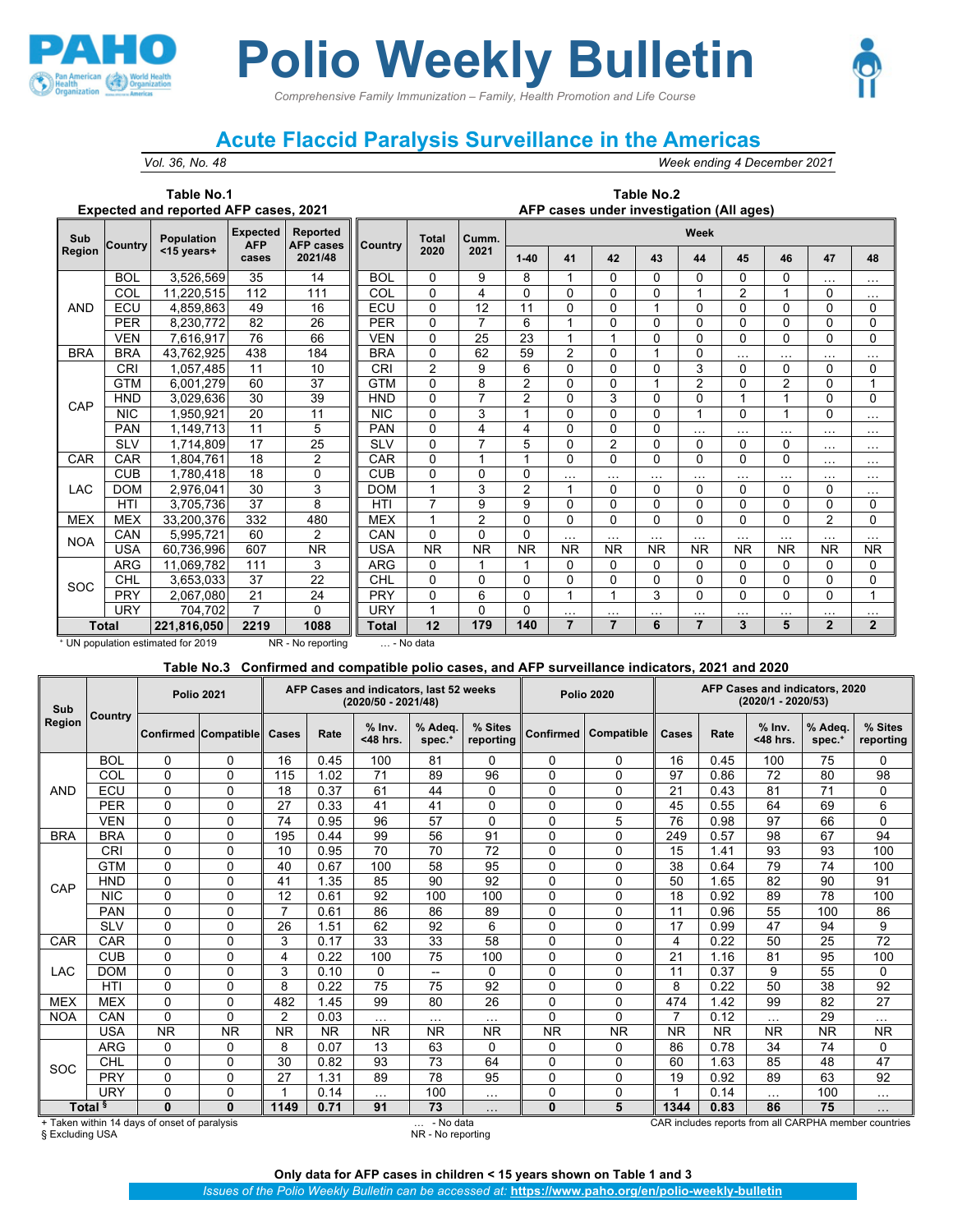

## **Polio Weekly Bulletin**

*Comprehensive Family Immunization – Family, Health Promotion and Life Course*



## **Acute Flaccid Paralysis Surveillance in the Americas**

*Vol. 36, No. 48 Week ending 4 December 2021*

## **Table No.1 Expected and reported AFP cases, 2021**

## **Table No.2 AFP cases under investigation (All ages)**

| Sub           | Country      | <b>Population</b> | <b>Expected</b><br><b>AFP</b> | <b>Reported</b><br><b>AFP</b> cases | Country    | <b>Total</b>   | Cumm.          | Week           |           |                |              |                |                |                |                |              |  |  |
|---------------|--------------|-------------------|-------------------------------|-------------------------------------|------------|----------------|----------------|----------------|-----------|----------------|--------------|----------------|----------------|----------------|----------------|--------------|--|--|
| <b>Region</b> |              | <15 vears+        | cases                         | 2021/48                             |            | 2020           | 2021           | $1 - 40$       | 41        | 42             | 43           | 44             | 45             | 46             | 47             | 48           |  |  |
|               | <b>BOL</b>   | 3,526,569         | 35                            | 14                                  | <b>BOL</b> | $\Omega$       | 9              | 8              |           | $\Omega$       | $\Omega$     | $\Omega$       | 0              | 0              | $\cdots$       | $\cdots$     |  |  |
|               | COL          | 11,220,515        | 112                           | 111                                 | COL        | $\Omega$       | 4              | 0              | $\Omega$  | $\Omega$       | $\Omega$     | 1              | $\overline{2}$ | 1              | 0              | $\cdots$     |  |  |
| <b>AND</b>    | ECU          | 4,859,863         | 49                            | 16                                  | ECU        | $\Omega$       | 12             | 11             | $\Omega$  | $\Omega$       |              | $\Omega$       | 0              | 0              | 0              | $\Omega$     |  |  |
|               | <b>PER</b>   | 8,230,772         | 82                            | 26                                  | <b>PER</b> | $\Omega$       | 7              | 6              | и         | $\Omega$       | $\Omega$     | $\Omega$       | 0              | $\Omega$       | 0              | $\Omega$     |  |  |
|               | <b>VEN</b>   | 7,616,917         | 76                            | 66                                  | <b>VEN</b> | $\Omega$       | 25             | 23             | и         |                | $\Omega$     | $\Omega$       | 0              | 0              | 0              | $\Omega$     |  |  |
| <b>BRA</b>    | <b>BRA</b>   | 43,762,925        | 438                           | 184                                 | <b>BRA</b> | $\Omega$       | 62             | 59             | 2         | $\Omega$       |              | $\Omega$       | $\cdots$       | $\cdots$       | $\cdots$       | $\cdots$     |  |  |
|               | CRI          | 1,057,485         | 11                            | 10                                  | <b>CRI</b> | $\overline{2}$ | 9              | 6              | 0         | $\mathbf{0}$   | $\mathbf{0}$ | 3              | 0              | 0              | 0              | $\mathbf{0}$ |  |  |
|               | <b>GTM</b>   | 6,001,279         | 60                            | 37                                  | <b>GTM</b> | $\Omega$       | 8              | $\overline{2}$ | 0         | $\Omega$       |              | $\overline{2}$ | 0              | $\overline{2}$ | 0              | 4            |  |  |
| CAP           | <b>HND</b>   | 3,029,636         | 30                            | 39                                  | <b>HND</b> | $\Omega$       | $\overline{7}$ | $\overline{2}$ | $\Omega$  | 3              | $\Omega$     | $\mathbf{0}$   | $\mathbf{1}$   | 1              | 0              | $\Omega$     |  |  |
|               | <b>NIC</b>   | .950,921          | 20                            | 11                                  | <b>NIC</b> | $\Omega$       | 3              |                | $\Omega$  | $\Omega$       | 0            | 1              | 0              | 1              | 0              | $\cdots$     |  |  |
|               | <b>PAN</b>   | 1,149,713         | 11                            | 5                                   | <b>PAN</b> | $\Omega$       | 4              | 4              | 0         | $\Omega$       | $\Omega$     | $\cdots$       | $\cdots$       | $\cdots$       | $\cdots$       | $\cdots$     |  |  |
|               | <b>SLV</b>   | ,714,809          | 17                            | 25                                  | <b>SLV</b> | $\Omega$       | $\overline{ }$ | 5              | $\Omega$  | $\overline{2}$ | $\Omega$     | $\Omega$       | 0              | $\Omega$       | $\cdots$       | $\cdots$     |  |  |
| CAR           | CAR          | .804.761          | 18                            | $\overline{2}$                      | CAR        | $\Omega$       | $\overline{A}$ |                | $\Omega$  | $\Omega$       | $\Omega$     | $\Omega$       | 0              | 0              | $\cdots$       | $\cdots$     |  |  |
|               | CUB          | 1,780,418         | 18                            | $\Omega$                            | <b>CUB</b> | $\mathbf{0}$   | 0              | 0              | .         | $\cdots$       | $\cdots$     | $\cdots$       | $\cdots$       | $\cdots$       | $\cdots$       | $\cdots$     |  |  |
| LAC           | <b>DOM</b>   | 2,976,041         | 30                            | 3                                   | <b>DOM</b> | 1              | 3              | 2              | 1         | $\Omega$       | $\Omega$     | $\Omega$       | 0              | $\Omega$       | 0              | $\cdots$     |  |  |
|               | HTI          | 3,705,736         | 37                            | 8                                   | <b>HTI</b> | $\overline{7}$ | 9              | 9              | $\Omega$  | $\Omega$       | $\Omega$     | $\Omega$       | 0              | $\Omega$       | 0              | $\Omega$     |  |  |
| <b>MEX</b>    | <b>MEX</b>   | 33,200,376        | 332                           | 480                                 | <b>MEX</b> | 1              | $\overline{2}$ | 0              | $\Omega$  | $\Omega$       | $\Omega$     | $\Omega$       | 0              | 0              | $\overline{2}$ | $\mathbf{0}$ |  |  |
| <b>NOA</b>    | CAN          | 5,995,721         | 60                            | $\overline{2}$                      | CAN        | $\Omega$       | $\Omega$       | 0              | .         | $\cdots$       | $\cdots$     | $\cdots$       | $\cdots$       | $\cdots$       | $\cdots$       | $\cdots$     |  |  |
|               | <b>USA</b>   | 60,736,996        | 607                           | <b>NR</b>                           | <b>USA</b> | <b>NR</b>      | <b>NR</b>      | <b>NR</b>      | <b>NR</b> | <b>NR</b>      | <b>NR</b>    | <b>NR</b>      | <b>NR</b>      | <b>NR</b>      | <b>NR</b>      | <b>NR</b>    |  |  |
|               | <b>ARG</b>   | 11,069,782        | 111                           | 3                                   | <b>ARG</b> | $\Omega$       |                |                | $\Omega$  | $\Omega$       | $\Omega$     | $\Omega$       | 0              | 0              | 0              | $\Omega$     |  |  |
| SOC           | CHL          | 3,653,033         | 37                            | 22                                  | CHL        | $\Omega$       | 0              | 0              | 0         | $\Omega$       | $\mathbf{0}$ | $\Omega$       | 0              | 0              | 0              | $\Omega$     |  |  |
|               | <b>PRY</b>   | 2.067.080         | 21                            | 24                                  | <b>PRY</b> | $\Omega$       | 6              | 0              | 1         | 1              | 3            | $\Omega$       | 0              | 0              | 0              | 1            |  |  |
|               | <b>URY</b>   | 704,702           | 7                             | $\Omega$                            | URY        | 1              | 0              | 0              | .         | $\cdots$       | $\cdots$     | $\cdots$       | $\cdots$       | $\cdots$       | $\cdots$       | $\cdots$     |  |  |
|               | <b>Total</b> | 221,816,050       | 2219                          | 1088                                | Total      | 12             | 179            | 140            | 7         | 7              | 6            | 7              | 3              | 5              | $\mathbf{2}$   | $\mathbf{2}$ |  |  |

<sup>+</sup> UN population estimated for 2019 NR - No reporting … - No data

**Table No.3 Confirmed and compatible polio cases, and AFP surveillance indicators, 2021 and 2020**

| Sub                                                                                                                            |            |           | <b>Polio 2021</b>           |           |           | AFP Cases and indicators, last 52 weeks<br>(2020/50 - 2021/48) |                          |                      |                  | <b>Polio 2020</b> | AFP Cases and indicators, 2020<br>(2020/1 - 2020/53) |           |                      |                               |                      |  |
|--------------------------------------------------------------------------------------------------------------------------------|------------|-----------|-----------------------------|-----------|-----------|----------------------------------------------------------------|--------------------------|----------------------|------------------|-------------------|------------------------------------------------------|-----------|----------------------|-------------------------------|----------------------|--|
| Region                                                                                                                         | Country    |           | <b>Confirmed Compatible</b> | Cases     | Rate      | $%$ Inv.<br><48 hrs.                                           | % Adea.<br>$spec.+$      | % Sites<br>reporting | <b>Confirmed</b> | Compatible        | Cases                                                | Rate      | $%$ Inv.<br><48 hrs. | % Adeq.<br>spec. <sup>+</sup> | % Sites<br>reporting |  |
|                                                                                                                                | <b>BOL</b> | 0         | 0                           | 16        | 0.45      | 100                                                            | 81                       | 0                    | 0                | 0                 | 16                                                   | 0.45      | 100                  | 75                            | 0                    |  |
|                                                                                                                                | COL        | 0         | 0                           | 115       | 1.02      | 71                                                             | 89                       | 96                   | $\mathbf{0}$     | $\mathbf{0}$      | 97                                                   | 0.86      | 72                   | 80                            | 98                   |  |
| <b>AND</b>                                                                                                                     | ECU        | $\Omega$  | 0                           | 18        | 0.37      | 61                                                             | 44                       | 0                    | $\mathbf{0}$     | $\mathbf{0}$      | 21                                                   | 0.43      | 81                   | 71                            | 0                    |  |
|                                                                                                                                | <b>PER</b> | 0         | 0                           | 27        | 0.33      | 41                                                             | 41                       | 0                    | 0                | $\mathbf{0}$      | 45                                                   | 0.55      | 64                   | 69                            | 6                    |  |
|                                                                                                                                | <b>VEN</b> | 0         | 0                           | 74        | 0.95      | 96                                                             | 57                       | 0                    | $\mathbf{0}$     | 5                 | 76                                                   | 0.98      | 97                   | 66                            | $\Omega$             |  |
| <b>BRA</b>                                                                                                                     | <b>BRA</b> | 0         | 0                           | 195       | 0.44      | 99                                                             | 56                       | 91                   | $\mathbf{0}$     | $\Omega$          | 249                                                  | 0.57      | 98                   | 67                            | 94                   |  |
|                                                                                                                                | <b>CRI</b> | $\Omega$  | 0                           | 10        | 0.95      | 70                                                             | 70                       | 72                   | $\mathbf{0}$     | $\mathbf{0}$      | 15                                                   | 1.41      | 93                   | 93                            | 100                  |  |
|                                                                                                                                | <b>GTM</b> | 0         | 0                           | 40        | 0.67      | 100                                                            | 58                       | 95                   | $\mathbf{0}$     | $\Omega$          | 38                                                   | 0.64      | 79                   | 74                            | 100                  |  |
| CAP                                                                                                                            | <b>HND</b> | $\Omega$  | 0                           | 41        | 1.35      | 85                                                             | 90                       | 92                   | $\mathbf{0}$     | $\mathbf 0$       | 50                                                   | 1.65      | 82                   | 90                            | 91                   |  |
|                                                                                                                                | <b>NIC</b> | 0         | 0                           | 12        | 0.61      | 92                                                             | 100                      | 100                  | 0                | $\Omega$          | 18                                                   | 0.92      | 89                   | 78                            | 100                  |  |
|                                                                                                                                | <b>PAN</b> | $\Omega$  | 0                           | 7         | 0.61      | 86                                                             | 86                       | 89                   | $\mathbf{0}$     | $\mathbf{0}$      | 11                                                   | 0.96      | 55                   | 100                           | 86                   |  |
|                                                                                                                                | <b>SLV</b> | $\Omega$  | 0                           | 26        | 1.51      | 62                                                             | 92                       | 6                    | 0                | $\mathbf{0}$      | 17                                                   | 0.99      | 47                   | 94                            | 9                    |  |
| CAR                                                                                                                            | CAR        | $\Omega$  | 0                           | 3         | 0.17      | 33                                                             | 33                       | 58                   | $\mathbf{0}$     | $\mathbf{0}$      | 4                                                    | 0.22      | 50                   | 25                            | 72                   |  |
|                                                                                                                                | <b>CUB</b> | $\Omega$  | 0                           | 4         | 0.22      | 100                                                            | 75                       | 100                  | $\mathbf{0}$     | $\mathbf{0}$      | 21                                                   | 1.16      | 81                   | 95                            | 100                  |  |
| <b>LAC</b>                                                                                                                     | <b>DOM</b> | 0         | 0                           | 3         | 0.10      | $\Omega$                                                       | $\overline{\phantom{a}}$ | 0                    | $\mathbf{0}$     | 0                 | 11                                                   | 0.37      | 9                    | 55                            | 0                    |  |
|                                                                                                                                | <b>HTI</b> | $\Omega$  | 0                           | 8         | 0.22      | 75                                                             | 75                       | 92                   | 0                | $\mathbf{0}$      | 8                                                    | 0.22      | 50                   | 38                            | 92                   |  |
| <b>MEX</b>                                                                                                                     | <b>MEX</b> | $\Omega$  | 0                           | 482       | 1.45      | 99                                                             | 80                       | 26                   | $\mathbf{0}$     | $\mathbf{0}$      | 474                                                  | 1.42      | 99                   | 82                            | 27                   |  |
| <b>NOA</b>                                                                                                                     | CAN        | 0         | 0                           | 2         | 0.03      | $\cdots$                                                       | $\cdots$                 | $\cdots$             | $\mathbf{0}$     | $\Omega$          | 7                                                    | 0.12      | $\cdots$             | 29                            | $\cdots$             |  |
|                                                                                                                                | USA        | <b>NR</b> | <b>NR</b>                   | <b>NR</b> | <b>NR</b> | <b>NR</b>                                                      | <b>NR</b>                | <b>NR</b>            | <b>NR</b>        | <b>NR</b>         | <b>NR</b>                                            | <b>NR</b> | <b>NR</b>            | <b>NR</b>                     | <b>NR</b>            |  |
|                                                                                                                                | <b>ARG</b> | 0         | 0                           | 8         | 0.07      | 13                                                             | 63                       | 0                    | $\mathbf{0}$     | $\Omega$          | 86                                                   | 0.78      | 34                   | 74                            | $\Omega$             |  |
| SOC                                                                                                                            | CHL        | 0         | 0                           | 30        | 0.82      | 93                                                             | 73                       | 64                   | $\mathbf{0}$     | $\mathbf{0}$      | 60                                                   | 1.63      | 85                   | 48                            | 47                   |  |
|                                                                                                                                | PRY        | 0         | 0                           | 27        | 1.31      | 89                                                             | 78                       | 95                   | 0                | $\mathbf{0}$      | 19                                                   | 0.92      | 89                   | 63                            | 92                   |  |
|                                                                                                                                | <b>URY</b> | 0         | 0                           | 1         | 0.14      | $\cdots$                                                       | 100                      | $\cdots$             | $\mathbf{0}$     | $\mathbf 0$       |                                                      | 0.14      | $\cdots$             | 100                           | $\cdots$             |  |
| Total <sup>§</sup><br>$\bf{0}$<br>$\bf{0}$<br>1149<br>73<br>0.71<br>91<br>$\cdots$                                             |            |           |                             |           |           |                                                                |                          | $\bf{0}$             | 5                | 1344              | 0.83                                                 | 86        | 75                   | $\cdots$                      |                      |  |
| + Taken within 14 days of onset of paralysis<br>- No data<br>CAR includes reports from all CARPHA member countries<br>$\cdots$ |            |           |                             |           |           |                                                                |                          |                      |                  |                   |                                                      |           |                      |                               |                      |  |

**Only data for AFP cases in children < 15 years shown on Table 1 and 3**